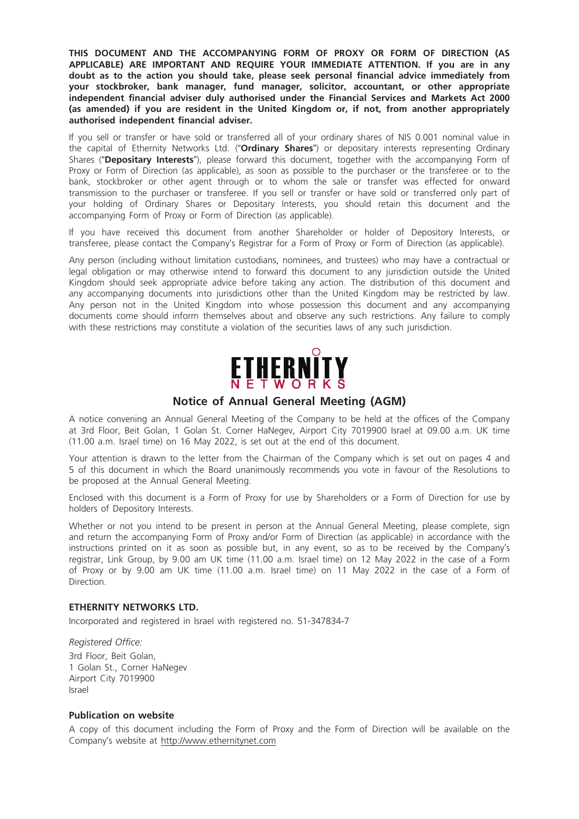THIS DOCUMENT AND THE ACCOMPANYING FORM OF PROXY OR FORM OF DIRECTION (AS APPLICABLE) ARE IMPORTANT AND REQUIRE YOUR IMMEDIATE ATTENTION. If you are in any doubt as to the action you should take, please seek personal financial advice immediately from your stockbroker, bank manager, fund manager, solicitor, accountant, or other appropriate independent financial adviser duly authorised under the Financial Services and Markets Act 2000 (as amended) if you are resident in the United Kingdom or, if not, from another appropriately authorised independent financial adviser.

If you sell or transfer or have sold or transferred all of your ordinary shares of NIS 0.001 nominal value in the capital of Ethernity Networks Ltd. ("Ordinary Shares") or depositary interests representing Ordinary Shares ("Depositary Interests"), please forward this document, together with the accompanying Form of Proxy or Form of Direction (as applicable), as soon as possible to the purchaser or the transferee or to the bank, stockbroker or other agent through or to whom the sale or transfer was effected for onward transmission to the purchaser or transferee. If you sell or transfer or have sold or transferred only part of your holding of Ordinary Shares or Depositary Interests, you should retain this document and the accompanying Form of Proxy or Form of Direction (as applicable).

If you have received this document from another Shareholder or holder of Depository Interests, or transferee, please contact the Company's Registrar for a Form of Proxy or Form of Direction (as applicable).

Any person (including without limitation custodians, nominees, and trustees) who may have a contractual or legal obligation or may otherwise intend to forward this document to any jurisdiction outside the United Kingdom should seek appropriate advice before taking any action. The distribution of this document and any accompanying documents into jurisdictions other than the United Kingdom may be restricted by law. Any person not in the United Kingdom into whose possession this document and any accompanying documents come should inform themselves about and observe any such restrictions. Any failure to comply with these restrictions may constitute a violation of the securities laws of any such jurisdiction.



A notice convening an Annual General Meeting of the Company to be held at the offices of the Company at 3rd Floor, Beit Golan, 1 Golan St. Corner HaNegev, Airport City 7019900 Israel at 09.00 a.m. UK time (11.00 a.m. Israel time) on 16 May 2022, is set out at the end of this document.

Your attention is drawn to the letter from the Chairman of the Company which is set out on pages 4 and 5 of this document in which the Board unanimously recommends you vote in favour of the Resolutions to be proposed at the Annual General Meeting.

Enclosed with this document is a Form of Proxy for use by Shareholders or a Form of Direction for use by holders of Depository Interests.

Whether or not you intend to be present in person at the Annual General Meeting, please complete, sign and return the accompanying Form of Proxy and/or Form of Direction (as applicable) in accordance with the instructions printed on it as soon as possible but, in any event, so as to be received by the Company's registrar, Link Group, by 9.00 am UK time (11.00 a.m. Israel time) on 12 May 2022 in the case of a Form of Proxy or by 9.00 am UK time (11.00 a.m. Israel time) on 11 May 2022 in the case of a Form of Direction.

#### ETHERNITY NETWORKS LTD.

Incorporated and registered in Israel with registered no. 51-347834-7

#### Registered Office:

3rd Floor, Beit Golan, 1 Golan St., Corner HaNegev Airport City 7019900 Israel

#### Publication on website

A copy of this document including the Form of Proxy and the Form of Direction will be available on the Company's website at http://www.ethernitynet.com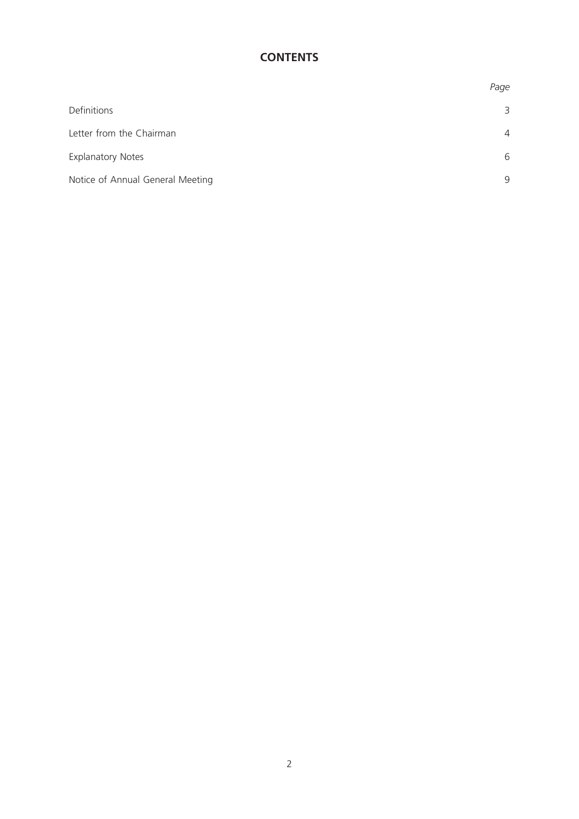# **CONTENTS**

|                                  | Page           |
|----------------------------------|----------------|
| Definitions                      | 3              |
| Letter from the Chairman         | $\overline{4}$ |
| <b>Explanatory Notes</b>         | 6              |
| Notice of Annual General Meeting | 9              |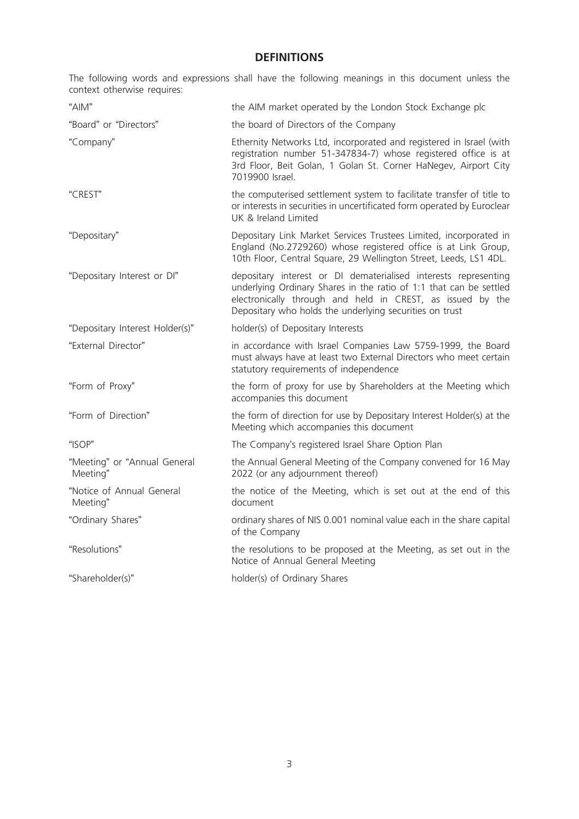# **DEFINITIONS**

The following words and expressions shall have the following meanings in this document unless the context otherwise requires:

| "AlM"                                    | the AIM market operated by the London Stock Exchange plc                                                                                                                                                                                                       |
|------------------------------------------|----------------------------------------------------------------------------------------------------------------------------------------------------------------------------------------------------------------------------------------------------------------|
| "Board" or "Directors"                   | the board of Directors of the Company                                                                                                                                                                                                                          |
| "Company"                                | Ethernity Networks Ltd, incorporated and registered in Israel (with<br>registration number 51-347834-7) whose registered office is at<br>3rd Floor, Beit Golan, 1 Golan St. Corner HaNegev, Airport City<br>7019900 Israel.                                    |
| "CREST"                                  | the computerised settlement system to facilitate transfer of title to<br>or interests in securities in uncertificated form operated by Euroclear<br>UK & Ireland Limited                                                                                       |
| "Depositary"                             | Depositary Link Market Services Trustees Limited, incorporated in<br>England (No.2729260) whose registered office is at Link Group,<br>10th Floor, Central Square, 29 Wellington Street, Leeds, LS1 4DL.                                                       |
| "Depositary Interest or DI"              | depositary interest or DI dematerialised interests representing<br>underlying Ordinary Shares in the ratio of 1:1 that can be settled<br>electronically through and held in CREST, as issued by the<br>Depositary who holds the underlying securities on trust |
| "Depositary Interest Holder(s)"          | holder(s) of Depositary Interests                                                                                                                                                                                                                              |
| "External Director"                      | in accordance with Israel Companies Law 5759-1999, the Board<br>must always have at least two External Directors who meet certain<br>statutory requirements of independence                                                                                    |
| "Form of Proxy"                          | the form of proxy for use by Shareholders at the Meeting which<br>accompanies this document                                                                                                                                                                    |
| "Form of Direction"                      | the form of direction for use by Depositary Interest Holder(s) at the<br>Meeting which accompanies this document                                                                                                                                               |
| "ISOP"                                   | The Company's registered Israel Share Option Plan                                                                                                                                                                                                              |
| "Meeting" or "Annual General<br>Meeting" | the Annual General Meeting of the Company convened for 16 May<br>2022 (or any adjournment thereof)                                                                                                                                                             |
| "Notice of Annual General<br>Meeting"    | the notice of the Meeting, which is set out at the end of this<br>document                                                                                                                                                                                     |
| "Ordinary Shares"                        | ordinary shares of NIS 0.001 nominal value each in the share capital<br>of the Company                                                                                                                                                                         |
| "Resolutions"                            | the resolutions to be proposed at the Meeting, as set out in the<br>Notice of Annual General Meeting                                                                                                                                                           |
| "Shareholder(s)"                         | holder(s) of Ordinary Shares                                                                                                                                                                                                                                   |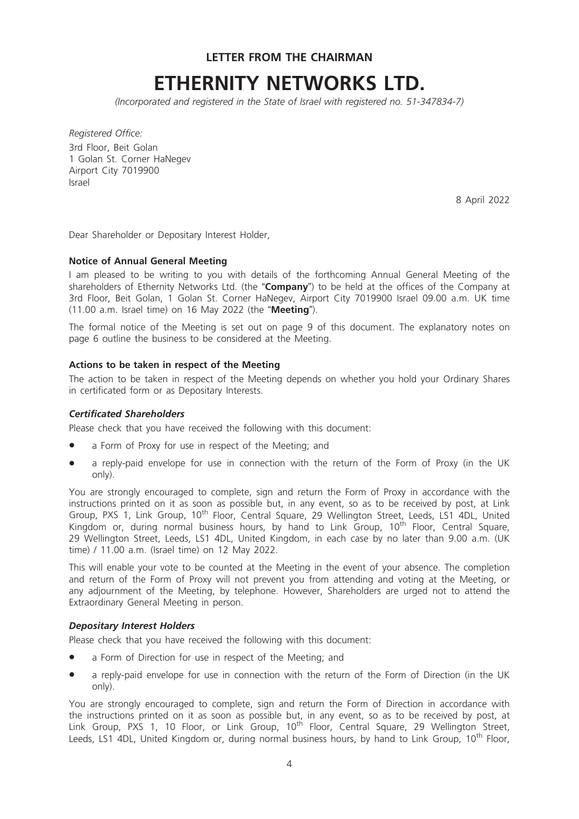LETTER FROM THE CHAIRMAN

# ETHERNITY NETWORKS LTD.

(Incorporated and registered in the State of Israel with registered no. 51-347834-7)

Registered Office: 3rd Floor, Beit Golan 1 Golan St. Corner HaNegev Airport City 7019900 Israel

8 April 2022

Dear Shareholder or Depositary Interest Holder,

#### Notice of Annual General Meeting

I am pleased to be writing to you with details of the forthcoming Annual General Meeting of the shareholders of Ethernity Networks Ltd. (the "Company") to be held at the offices of the Company at 3rd Floor, Beit Golan, 1 Golan St. Corner HaNegev, Airport City 7019900 Israel 09.00 a.m. UK time (11.00 a.m. Israel time) on 16 May 2022 (the "Meeting").

The formal notice of the Meeting is set out on page 9 of this document. The explanatory notes on page 6 outline the business to be considered at the Meeting.

#### Actions to be taken in respect of the Meeting

The action to be taken in respect of the Meeting depends on whether you hold your Ordinary Shares in certificated form or as Depositary Interests.

#### Certificated Shareholders

Please check that you have received the following with this document:

- a Form of Proxy for use in respect of the Meeting; and
- a reply-paid envelope for use in connection with the return of the Form of Proxy (in the UK only).

You are strongly encouraged to complete, sign and return the Form of Proxy in accordance with the instructions printed on it as soon as possible but, in any event, so as to be received by post, at Link Group, PXS 1, Link Group, 10<sup>th</sup> Floor, Central Square, 29 Wellington Street, Leeds, LS1 4DL, United Kingdom or, during normal business hours, by hand to Link Group, 10<sup>th</sup> Floor, Central Square. 29 Wellington Street, Leeds, LS1 4DL, United Kingdom, in each case by no later than 9.00 a.m. (UK time) / 11.00 a.m. (Israel time) on 12 May 2022.

This will enable your vote to be counted at the Meeting in the event of your absence. The completion and return of the Form of Proxy will not prevent you from attending and voting at the Meeting, or any adjournment of the Meeting, by telephone. However, Shareholders are urged not to attend the Extraordinary General Meeting in person.

#### Depositary Interest Holders

Please check that you have received the following with this document:

- a Form of Direction for use in respect of the Meeting; and
- a reply-paid envelope for use in connection with the return of the Form of Direction (in the UK only).

You are strongly encouraged to complete, sign and return the Form of Direction in accordance with the instructions printed on it as soon as possible but, in any event, so as to be received by post, at Link Group, PXS 1, 10 Floor, or Link Group, 10<sup>th</sup> Floor, Central Square, 29 Wellington Street, Leeds, LS1 4DL, United Kingdom or, during normal business hours, by hand to Link Group, 10<sup>th</sup> Floor,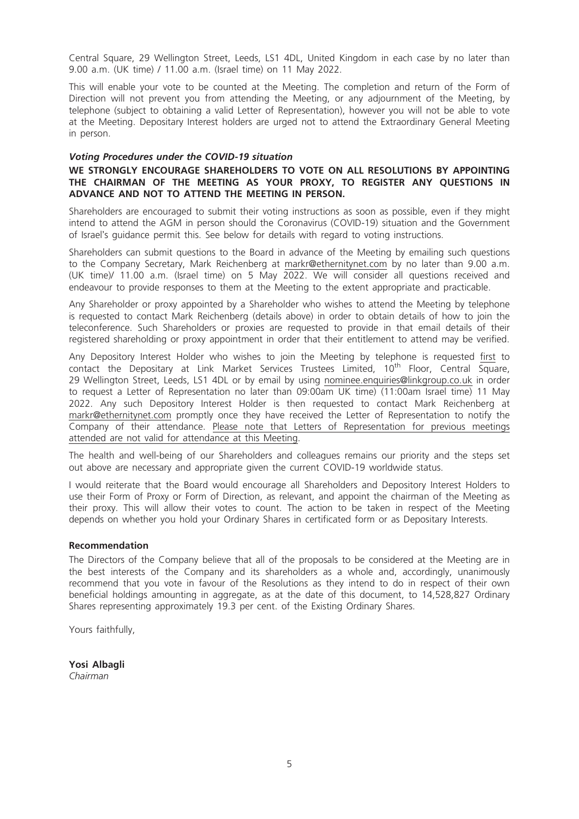Central Square, 29 Wellington Street, Leeds, LS1 4DL, United Kingdom in each case by no later than 9.00 a.m. (UK time) / 11.00 a.m. (Israel time) on 11 May 2022.

This will enable your vote to be counted at the Meeting. The completion and return of the Form of Direction will not prevent you from attending the Meeting, or any adjournment of the Meeting, by telephone (subject to obtaining a valid Letter of Representation), however you will not be able to vote at the Meeting. Depositary Interest holders are urged not to attend the Extraordinary General Meeting in person.

#### Voting Procedures under the COVID-19 situation

### WE STRONGLY ENCOURAGE SHAREHOLDERS TO VOTE ON ALL RESOLUTIONS BY APPOINTING THE CHAIRMAN OF THE MEETING AS YOUR PROXY, TO REGISTER ANY QUESTIONS IN ADVANCE AND NOT TO ATTEND THE MEETING IN PERSON.

Shareholders are encouraged to submit their voting instructions as soon as possible, even if they might intend to attend the AGM in person should the Coronavirus (COVID-19) situation and the Government of Israel's guidance permit this. See below for details with regard to voting instructions.

Shareholders can submit questions to the Board in advance of the Meeting by emailing such questions to the Company Secretary, Mark Reichenberg at markr@ethernitynet.com by no later than 9.00 a.m. (UK time)/ 11.00 a.m. (Israel time) on 5 May 2022. We will consider all questions received and endeavour to provide responses to them at the Meeting to the extent appropriate and practicable.

Any Shareholder or proxy appointed by a Shareholder who wishes to attend the Meeting by telephone is requested to contact Mark Reichenberg (details above) in order to obtain details of how to join the teleconference. Such Shareholders or proxies are requested to provide in that email details of their registered shareholding or proxy appointment in order that their entitlement to attend may be verified.

Any Depository Interest Holder who wishes to join the Meeting by telephone is requested first to contact the Depositary at Link Market Services Trustees Limited, 10<sup>th</sup> Floor, Central Square, 29 Wellington Street, Leeds, LS1 4DL or by email by using nominee.enquiries@linkgroup.co.uk in order to request a Letter of Representation no later than 09:00am UK time) (11:00am Israel time) 11 May 2022. Any such Depository Interest Holder is then requested to contact Mark Reichenberg at markr@ethernitynet.com promptly once they have received the Letter of Representation to notify the Company of their attendance. Please note that Letters of Representation for previous meetings attended are not valid for attendance at this Meeting.

The health and well-being of our Shareholders and colleagues remains our priority and the steps set out above are necessary and appropriate given the current COVID-19 worldwide status.

I would reiterate that the Board would encourage all Shareholders and Depository Interest Holders to use their Form of Proxy or Form of Direction, as relevant, and appoint the chairman of the Meeting as their proxy. This will allow their votes to count. The action to be taken in respect of the Meeting depends on whether you hold your Ordinary Shares in certificated form or as Depositary Interests.

#### Recommendation

The Directors of the Company believe that all of the proposals to be considered at the Meeting are in the best interests of the Company and its shareholders as a whole and, accordingly, unanimously recommend that you vote in favour of the Resolutions as they intend to do in respect of their own beneficial holdings amounting in aggregate, as at the date of this document, to 14,528,827 Ordinary Shares representing approximately 19.3 per cent. of the Existing Ordinary Shares.

Yours faithfully,

Yosi Albagli Chairman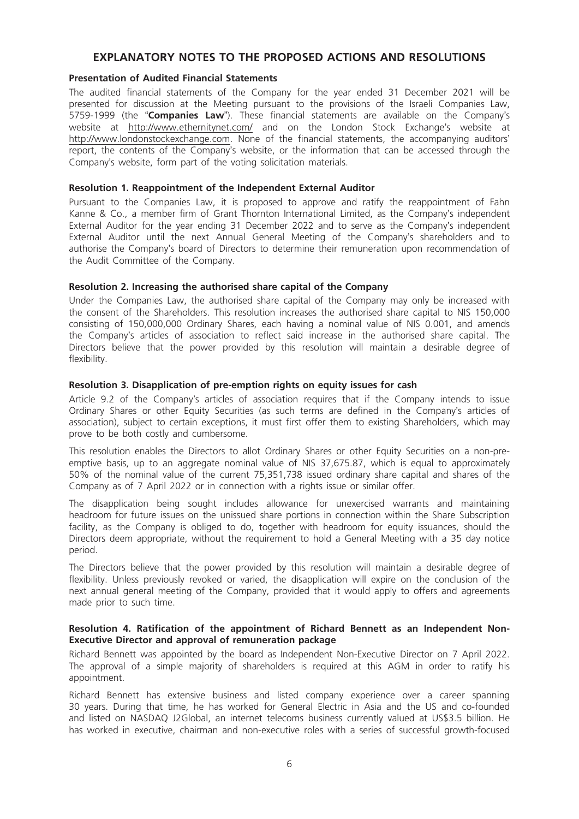# EXPLANATORY NOTES TO THE PROPOSED ACTIONS AND RESOLUTIONS

#### Presentation of Audited Financial Statements

The audited financial statements of the Company for the year ended 31 December 2021 will be presented for discussion at the Meeting pursuant to the provisions of the Israeli Companies Law, 5759-1999 (the "Companies Law"). These financial statements are available on the Company's website at http://www.ethernitynet.com/ and on the London Stock Exchange's website at http://www.londonstockexchange.com. None of the financial statements, the accompanying auditors' report, the contents of the Company's website, or the information that can be accessed through the Company's website, form part of the voting solicitation materials.

#### Resolution 1. Reappointment of the Independent External Auditor

Pursuant to the Companies Law, it is proposed to approve and ratify the reappointment of Fahn Kanne & Co., a member firm of Grant Thornton International Limited, as the Company's independent External Auditor for the year ending 31 December 2022 and to serve as the Company's independent External Auditor until the next Annual General Meeting of the Company's shareholders and to authorise the Company's board of Directors to determine their remuneration upon recommendation of the Audit Committee of the Company.

#### Resolution 2. Increasing the authorised share capital of the Company

Under the Companies Law, the authorised share capital of the Company may only be increased with the consent of the Shareholders. This resolution increases the authorised share capital to NIS 150,000 consisting of 150,000,000 Ordinary Shares, each having a nominal value of NIS 0.001, and amends the Company's articles of association to reflect said increase in the authorised share capital. The Directors believe that the power provided by this resolution will maintain a desirable degree of flexibility.

#### Resolution 3. Disapplication of pre-emption rights on equity issues for cash

Article 9.2 of the Company's articles of association requires that if the Company intends to issue Ordinary Shares or other Equity Securities (as such terms are defined in the Company's articles of association), subject to certain exceptions, it must first offer them to existing Shareholders, which may prove to be both costly and cumbersome.

This resolution enables the Directors to allot Ordinary Shares or other Equity Securities on a non-preemptive basis, up to an aggregate nominal value of NIS 37,675.87, which is equal to approximately 50% of the nominal value of the current 75,351,738 issued ordinary share capital and shares of the Company as of 7 April 2022 or in connection with a rights issue or similar offer.

The disapplication being sought includes allowance for unexercised warrants and maintaining headroom for future issues on the unissued share portions in connection within the Share Subscription facility, as the Company is obliged to do, together with headroom for equity issuances, should the Directors deem appropriate, without the requirement to hold a General Meeting with a 35 day notice period.

The Directors believe that the power provided by this resolution will maintain a desirable degree of flexibility. Unless previously revoked or varied, the disapplication will expire on the conclusion of the next annual general meeting of the Company, provided that it would apply to offers and agreements made prior to such time.

#### Resolution 4. Ratification of the appointment of Richard Bennett as an Independent Non-Executive Director and approval of remuneration package

Richard Bennett was appointed by the board as Independent Non-Executive Director on 7 April 2022. The approval of a simple majority of shareholders is required at this AGM in order to ratify his appointment.

Richard Bennett has extensive business and listed company experience over a career spanning 30 years. During that time, he has worked for General Electric in Asia and the US and co-founded and listed on NASDAQ J2Global, an internet telecoms business currently valued at US\$3.5 billion. He has worked in executive, chairman and non-executive roles with a series of successful growth-focused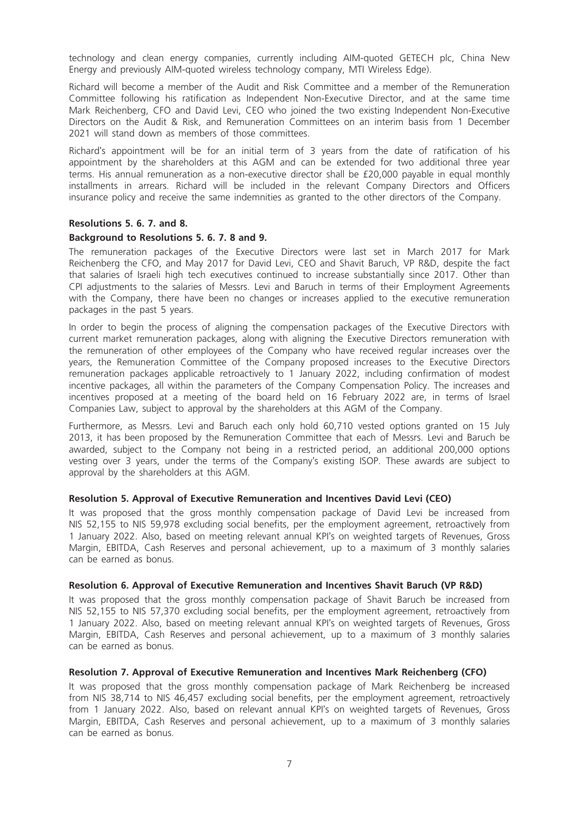technology and clean energy companies, currently including AIM-quoted GETECH plc, China New Energy and previously AIM-quoted wireless technology company, MTI Wireless Edge).

Richard will become a member of the Audit and Risk Committee and a member of the Remuneration Committee following his ratification as Independent Non-Executive Director, and at the same time Mark Reichenberg, CFO and David Levi, CEO who joined the two existing Independent Non-Executive Directors on the Audit & Risk, and Remuneration Committees on an interim basis from 1 December 2021 will stand down as members of those committees.

Richard's appointment will be for an initial term of 3 years from the date of ratification of his appointment by the shareholders at this AGM and can be extended for two additional three year terms. His annual remuneration as a non-executive director shall be £20,000 payable in equal monthly installments in arrears. Richard will be included in the relevant Company Directors and Officers insurance policy and receive the same indemnities as granted to the other directors of the Company.

#### Resolutions 5. 6. 7. and 8.

#### Background to Resolutions 5. 6. 7. 8 and 9.

The remuneration packages of the Executive Directors were last set in March 2017 for Mark Reichenberg the CFO, and May 2017 for David Levi, CEO and Shavit Baruch, VP R&D, despite the fact that salaries of Israeli high tech executives continued to increase substantially since 2017. Other than CPI adjustments to the salaries of Messrs. Levi and Baruch in terms of their Employment Agreements with the Company, there have been no changes or increases applied to the executive remuneration packages in the past 5 years.

In order to begin the process of aligning the compensation packages of the Executive Directors with current market remuneration packages, along with aligning the Executive Directors remuneration with the remuneration of other employees of the Company who have received regular increases over the years, the Remuneration Committee of the Company proposed increases to the Executive Directors remuneration packages applicable retroactively to 1 January 2022, including confirmation of modest incentive packages, all within the parameters of the Company Compensation Policy. The increases and incentives proposed at a meeting of the board held on 16 February 2022 are, in terms of Israel Companies Law, subject to approval by the shareholders at this AGM of the Company.

Furthermore, as Messrs. Levi and Baruch each only hold 60,710 vested options granted on 15 July 2013, it has been proposed by the Remuneration Committee that each of Messrs. Levi and Baruch be awarded, subject to the Company not being in a restricted period, an additional 200,000 options vesting over 3 years, under the terms of the Company's existing ISOP. These awards are subject to approval by the shareholders at this AGM.

#### Resolution 5. Approval of Executive Remuneration and Incentives David Levi (CEO)

It was proposed that the gross monthly compensation package of David Levi be increased from NIS 52,155 to NIS 59,978 excluding social benefits, per the employment agreement, retroactively from 1 January 2022. Also, based on meeting relevant annual KPI's on weighted targets of Revenues, Gross Margin, EBITDA, Cash Reserves and personal achievement, up to a maximum of 3 monthly salaries can be earned as bonus.

#### Resolution 6. Approval of Executive Remuneration and Incentives Shavit Baruch (VP R&D)

It was proposed that the gross monthly compensation package of Shavit Baruch be increased from NIS 52,155 to NIS 57,370 excluding social benefits, per the employment agreement, retroactively from 1 January 2022. Also, based on meeting relevant annual KPI's on weighted targets of Revenues, Gross Margin, EBITDA, Cash Reserves and personal achievement, up to a maximum of 3 monthly salaries can be earned as bonus.

#### Resolution 7. Approval of Executive Remuneration and Incentives Mark Reichenberg (CFO)

It was proposed that the gross monthly compensation package of Mark Reichenberg be increased from NIS 38,714 to NIS 46,457 excluding social benefits, per the employment agreement, retroactively from 1 January 2022. Also, based on relevant annual KPI's on weighted targets of Revenues, Gross Margin, EBITDA, Cash Reserves and personal achievement, up to a maximum of 3 monthly salaries can be earned as bonus.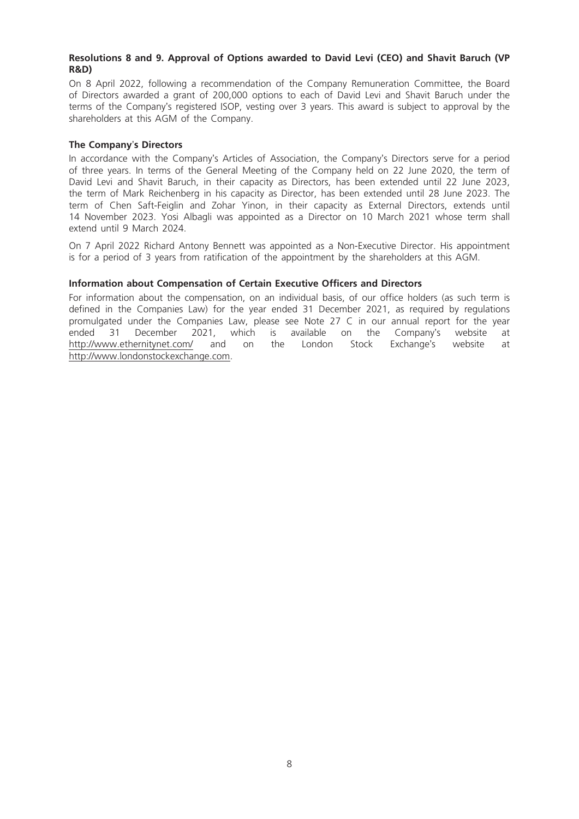### Resolutions 8 and 9. Approval of Options awarded to David Levi (CEO) and Shavit Baruch (VP R&D)

On 8 April 2022, following a recommendation of the Company Remuneration Committee, the Board of Directors awarded a grant of 200,000 options to each of David Levi and Shavit Baruch under the terms of the Company's registered ISOP, vesting over 3 years. This award is subject to approval by the shareholders at this AGM of the Company.

#### The Company's Directors

In accordance with the Company's Articles of Association, the Company's Directors serve for a period of three years. In terms of the General Meeting of the Company held on 22 June 2020, the term of David Levi and Shavit Baruch, in their capacity as Directors, has been extended until 22 June 2023, the term of Mark Reichenberg in his capacity as Director, has been extended until 28 June 2023. The term of Chen Saft-Feiglin and Zohar Yinon, in their capacity as External Directors, extends until 14 November 2023. Yosi Albagli was appointed as a Director on 10 March 2021 whose term shall extend until 9 March 2024.

On 7 April 2022 Richard Antony Bennett was appointed as a Non-Executive Director. His appointment is for a period of 3 years from ratification of the appointment by the shareholders at this AGM.

#### Information about Compensation of Certain Executive Officers and Directors

For information about the compensation, on an individual basis, of our office holders (as such term is defined in the Companies Law) for the year ended 31 December 2021, as required by regulations promulgated under the Companies Law, please see Note 27 C in our annual report for the year ended 31 December 2021, which is available on the Company's website at http://www.ethernitynet.com/ and on the London Stock Exchange's website at http://www.londonstockexchange.com.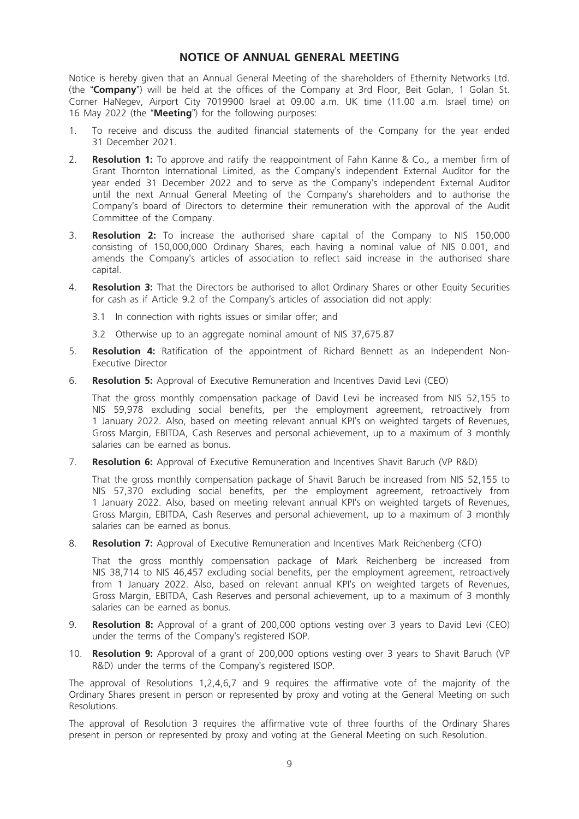# NOTICE OF ANNUAL GENERAL MEETING

Notice is hereby given that an Annual General Meeting of the shareholders of Ethernity Networks Ltd. (the "Company") will be held at the offices of the Company at 3rd Floor, Beit Golan, 1 Golan St. Corner HaNegev, Airport City 7019900 Israel at 09.00 a.m. UK time (11.00 a.m. Israel time) on 16 May 2022 (the "Meeting") for the following purposes:

- 1. To receive and discuss the audited financial statements of the Company for the year ended 31 December 2021.
- 2. **Resolution 1:** To approve and ratify the reappointment of Fahn Kanne & Co., a member firm of Grant Thornton International Limited, as the Company's independent External Auditor for the year ended 31 December 2022 and to serve as the Company's independent External Auditor until the next Annual General Meeting of the Company's shareholders and to authorise the Company's board of Directors to determine their remuneration with the approval of the Audit Committee of the Company.
- 3. Resolution 2: To increase the authorised share capital of the Company to NIS 150,000 consisting of 150,000,000 Ordinary Shares, each having a nominal value of NIS 0.001, and amends the Company's articles of association to reflect said increase in the authorised share capital.
- 4. **Resolution 3:** That the Directors be authorised to allot Ordinary Shares or other Equity Securities for cash as if Article 9.2 of the Company's articles of association did not apply:
	- 3.1 In connection with rights issues or similar offer; and
	- 3.2 Otherwise up to an aggregate nominal amount of NIS 37,675.87
- 5. **Resolution 4:** Ratification of the appointment of Richard Bennett as an Independent Non-Executive Director
- 6. Resolution 5: Approval of Executive Remuneration and Incentives David Levi (CEO)

That the gross monthly compensation package of David Levi be increased from NIS 52,155 to NIS 59,978 excluding social benefits, per the employment agreement, retroactively from 1 January 2022. Also, based on meeting relevant annual KPI's on weighted targets of Revenues, Gross Margin, EBITDA, Cash Reserves and personal achievement, up to a maximum of 3 monthly salaries can be earned as bonus.

7. **Resolution 6:** Approval of Executive Remuneration and Incentives Shavit Baruch (VP R&D)

That the gross monthly compensation package of Shavit Baruch be increased from NIS 52,155 to NIS 57,370 excluding social benefits, per the employment agreement, retroactively from 1 January 2022. Also, based on meeting relevant annual KPI's on weighted targets of Revenues, Gross Margin, EBITDA, Cash Reserves and personal achievement, up to a maximum of 3 monthly salaries can be earned as bonus.

8. **Resolution 7:** Approval of Executive Remuneration and Incentives Mark Reichenberg (CFO)

That the gross monthly compensation package of Mark Reichenberg be increased from NIS 38,714 to NIS 46,457 excluding social benefits, per the employment agreement, retroactively from 1 January 2022. Also, based on relevant annual KPI's on weighted targets of Revenues, Gross Margin, EBITDA, Cash Reserves and personal achievement, up to a maximum of 3 monthly salaries can be earned as bonus.

- 9. **Resolution 8:** Approval of a grant of 200,000 options vesting over 3 years to David Levi (CEO) under the terms of the Company's registered ISOP.
- 10. **Resolution 9:** Approval of a grant of 200,000 options vesting over 3 years to Shavit Baruch (VP R&D) under the terms of the Company's registered ISOP.

The approval of Resolutions 1,2,4,6,7 and 9 requires the affirmative vote of the majority of the Ordinary Shares present in person or represented by proxy and voting at the General Meeting on such Resolutions.

The approval of Resolution 3 requires the affirmative vote of three fourths of the Ordinary Shares present in person or represented by proxy and voting at the General Meeting on such Resolution.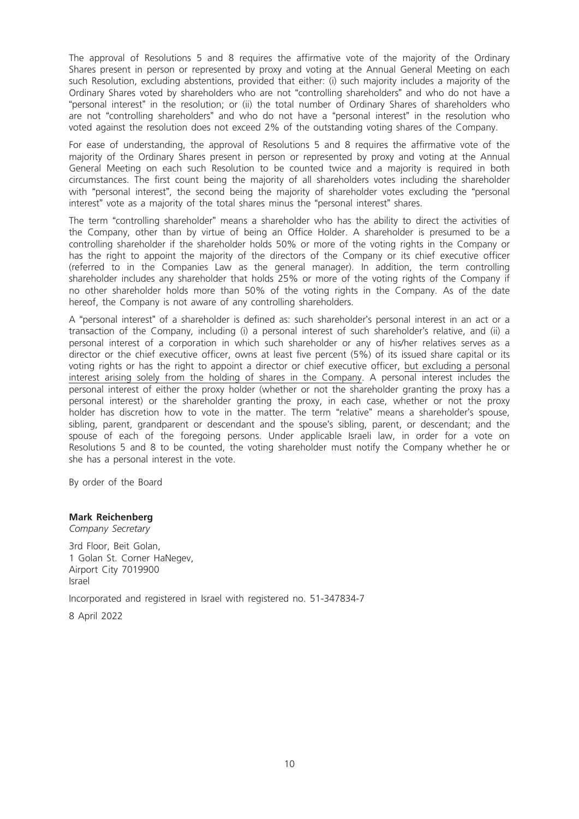The approval of Resolutions 5 and 8 requires the affirmative vote of the majority of the Ordinary Shares present in person or represented by proxy and voting at the Annual General Meeting on each such Resolution, excluding abstentions, provided that either: (i) such majority includes a majority of the Ordinary Shares voted by shareholders who are not "controlling shareholders" and who do not have a "personal interest" in the resolution; or (ii) the total number of Ordinary Shares of shareholders who are not "controlling shareholders" and who do not have a "personal interest" in the resolution who voted against the resolution does not exceed 2% of the outstanding voting shares of the Company.

For ease of understanding, the approval of Resolutions 5 and 8 requires the affirmative vote of the majority of the Ordinary Shares present in person or represented by proxy and voting at the Annual General Meeting on each such Resolution to be counted twice and a majority is required in both circumstances. The first count being the majority of all shareholders votes including the shareholder with "personal interest", the second being the majority of shareholder votes excluding the "personal interest" vote as a majority of the total shares minus the "personal interest" shares.

The term "controlling shareholder" means a shareholder who has the ability to direct the activities of the Company, other than by virtue of being an Office Holder. A shareholder is presumed to be a controlling shareholder if the shareholder holds 50% or more of the voting rights in the Company or has the right to appoint the majority of the directors of the Company or its chief executive officer (referred to in the Companies Law as the general manager). In addition, the term controlling shareholder includes any shareholder that holds 25% or more of the voting rights of the Company if no other shareholder holds more than 50% of the voting rights in the Company. As of the date hereof, the Company is not aware of any controlling shareholders.

A "personal interest" of a shareholder is defined as: such shareholder's personal interest in an act or a transaction of the Company, including (i) a personal interest of such shareholder's relative, and (ii) a personal interest of a corporation in which such shareholder or any of his/her relatives serves as a director or the chief executive officer, owns at least five percent (5%) of its issued share capital or its voting rights or has the right to appoint a director or chief executive officer, but excluding a personal interest arising solely from the holding of shares in the Company. A personal interest includes the personal interest of either the proxy holder (whether or not the shareholder granting the proxy has a personal interest) or the shareholder granting the proxy, in each case, whether or not the proxy holder has discretion how to vote in the matter. The term "relative" means a shareholder's spouse, sibling, parent, grandparent or descendant and the spouse's sibling, parent, or descendant; and the spouse of each of the foregoing persons. Under applicable Israeli law, in order for a vote on Resolutions 5 and 8 to be counted, the voting shareholder must notify the Company whether he or she has a personal interest in the vote.

By order of the Board

#### Mark Reichenberg

Company Secretary

3rd Floor, Beit Golan, 1 Golan St. Corner HaNegev, Airport City 7019900 Israel

Incorporated and registered in Israel with registered no. 51-347834-7

8 April 2022